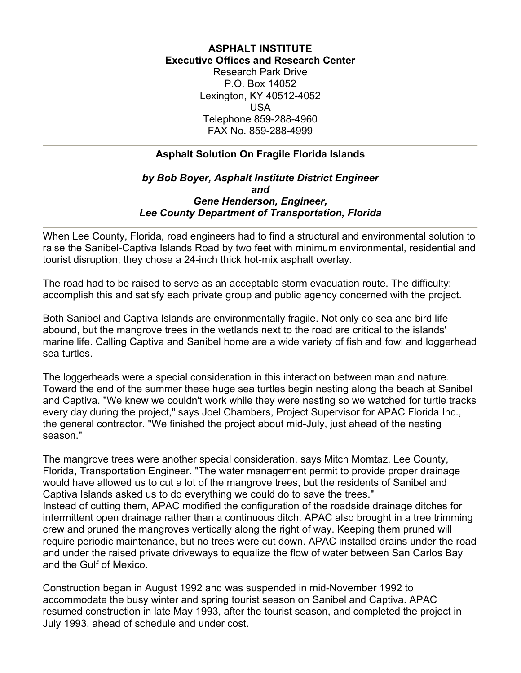## **ASPHALT INSTITUTE Executive Offices and Research Center**

Research Park Drive P.O. Box 14052 Lexington, KY 40512-4052 USA Telephone 859-288-4960 FAX No. 859-288-4999

## **Asphalt Solution On Fragile Florida Islands**

## *by Bob Boyer, Asphalt Institute District Engineer and Gene Henderson, Engineer, Lee County Department of Transportation, Florida*

When Lee County, Florida, road engineers had to find a structural and environmental solution to raise the Sanibel-Captiva Islands Road by two feet with minimum environmental, residential and tourist disruption, they chose a 24-inch thick hot-mix asphalt overlay.

The road had to be raised to serve as an acceptable storm evacuation route. The difficulty: accomplish this and satisfy each private group and public agency concerned with the project.

Both Sanibel and Captiva Islands are environmentally fragile. Not only do sea and bird life abound, but the mangrove trees in the wetlands next to the road are critical to the islands' marine life. Calling Captiva and Sanibel home are a wide variety of fish and fowl and loggerhead sea turtles.

The loggerheads were a special consideration in this interaction between man and nature. Toward the end of the summer these huge sea turtles begin nesting along the beach at Sanibel and Captiva. "We knew we couldn't work while they were nesting so we watched for turtle tracks every day during the project," says Joel Chambers, Project Supervisor for APAC Florida Inc., the general contractor. "We finished the project about mid-July, just ahead of the nesting season."

The mangrove trees were another special consideration, says Mitch Momtaz, Lee County, Florida, Transportation Engineer. "The water management permit to provide proper drainage would have allowed us to cut a lot of the mangrove trees, but the residents of Sanibel and Captiva Islands asked us to do everything we could do to save the trees." Instead of cutting them, APAC modified the configuration of the roadside drainage ditches for intermittent open drainage rather than a continuous ditch. APAC also brought in a tree trimming crew and pruned the mangroves vertically along the right of way. Keeping them pruned will require periodic maintenance, but no trees were cut down. APAC installed drains under the road and under the raised private driveways to equalize the flow of water between San Carlos Bay and the Gulf of Mexico.

Construction began in August 1992 and was suspended in mid-November 1992 to accommodate the busy winter and spring tourist season on Sanibel and Captiva. APAC resumed construction in late May 1993, after the tourist season, and completed the project in July 1993, ahead of schedule and under cost.